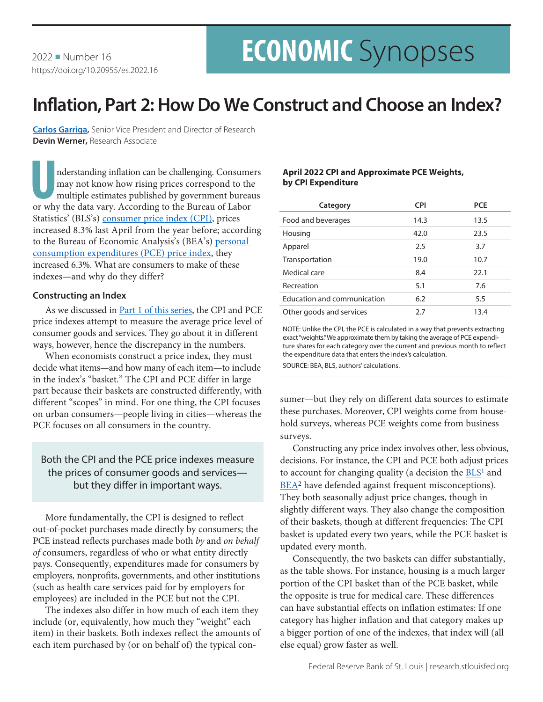# **ECONOMIC** Synopses

2022 Number 16 https://doi.org/10.20955/es.2022.16

## **Inflation, Part 2: How Do We Construct and Choose an Index?**

**[Carlos Garriga](https://research.stlouisfed.org/econ/garriga/sel/),** Senior Vice President and Director of Research **Devin Werner,** Research Associate

nderstanding inflation can be challenging. Consumers<br>may not know how rising prices correspond to the<br>multiple estimates published by government bureaus<br>or why the data vary. According to the Bureau of Labor may not know how rising prices correspond to the multiple estimates published by government bureaus or why the data vary. According to the Bureau of Labor Statistics' (BLS's) [consumer price index \(CPI\)](https://www.bls.gov/cpi/), prices increased 8.3% last April from the year before; according to the Bureau of Economic Analysis's (BEA's) [personal](https://www.bea.gov/data/personal-consumption-expenditures-price-index)  [consumption expenditures \(PCE\) price index](https://www.bea.gov/data/personal-consumption-expenditures-price-index), they increased 6.3%. What are consumers to make of these indexes—and why do they differ?

#### **Constructing an Index**

As we discussed in **Part 1** of this series, the CPI and PCE price indexes attempt to measure the average price level of consumer goods and services. They go about it in different ways, however, hence the discrepancy in the numbers.

When economists construct a price index, they must decide what items—and how many of each item—to include in the index's "basket." The CPI and PCE differ in large part because their baskets are constructed differently, with different "scopes" in mind. For one thing, the CPI focuses on urban consumers—people living in cities—whereas the PCE focuses on all consumers in the country.

### Both the CPI and the PCE price indexes measure the prices of consumer goods and services but they differ in important ways.

More fundamentally, the CPI is designed to reflect out-of-pocket purchases made directly by consumers; the PCE instead reflects purchases made both *by* and *on behalf of* consumers, regardless of who or what entity directly pays. Consequently, expenditures made for consumers by employers, nonprofits, governments, and other institutions (such as health care services paid for by employers for employees) are included in the PCE but not the CPI.

The indexes also differ in how much of each item they include (or, equivalently, how much they "weight" each item) in their baskets. Both indexes reflect the amounts of each item purchased by (or on behalf of) the typical con-

#### **April 2022 CPI and Approximate PCE Weights, by CPI Expenditure**

| Category                    | <b>CPI</b> | <b>PCE</b> |
|-----------------------------|------------|------------|
| Food and beverages          | 14.3       | 13.5       |
| Housing                     | 42.0       | 23.5       |
| Apparel                     | 2.5        | 3.7        |
| Transportation              | 19.0       | 10.7       |
| Medical care                | 8.4        | 22.1       |
| Recreation                  | 5.1        | 7.6        |
| Education and communication | 6.2        | 5.5        |
| Other goods and services    | 2.7        | 13.4       |

NOTE: Unlike the CPI, the PCE is calculated in a way that prevents extracting exact "weights." We approximate them by taking the average of PCE expenditure shares for each category over the current and previous month to reflect the expenditure data that enters the index's calculation.

SOURCE: BEA, BLS, authors' calculations.

sumer—but they rely on different data sources to estimate these purchases. Moreover, CPI weights come from household surveys, whereas PCE weights come from business surveys.

Constructing any price index involves other, less obvious, decisions. For instance, the CPI and PCE both adjust prices to account for changing quality (a decision the  $BLS<sup>1</sup>$  and [BEA](https://www.bea.gov/sites/default/files/papers/P2006-6_0.pdf)<sup>2</sup> have defended against frequent misconceptions). They both seasonally adjust price changes, though in slightly different ways. They also change the composition of their baskets, though at different frequencies: The CPI basket is updated every two years, while the PCE basket is updated every month.

Consequently, the two baskets can differ substantially, as the table shows. For instance, housing is a much larger portion of the CPI basket than of the PCE basket, while the opposite is true for medical care. These differences can have substantial effects on inflation estimates: If one category has higher inflation and that category makes up a bigger portion of one of the indexes, that index will (all else equal) grow faster as well.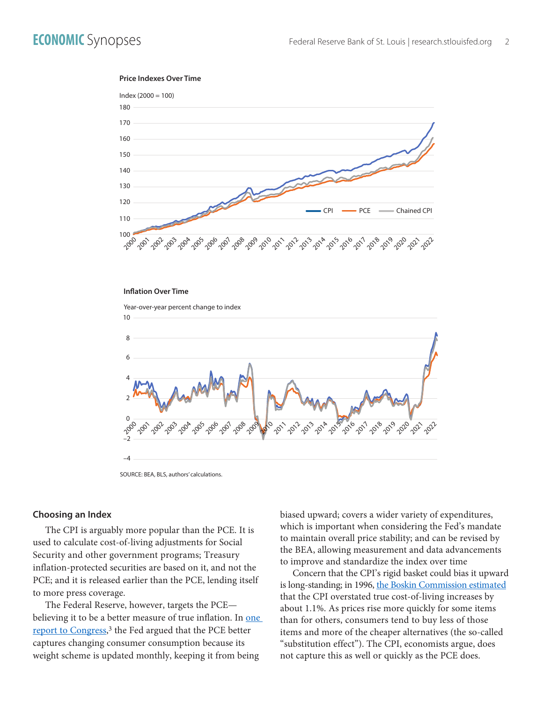#### **Price Indexes Over Time**



#### **Inflation Over Time**

Year-over-year percent change to index



SOURCE: BEA, BLS, authors' calculations.

#### **Choosing an Index**

The CPI is arguably more popular than the PCE. It is used to calculate cost-of-living adjustments for Social Security and other government programs; Treasury inflation-protected securities are based on it, and not the PCE; and it is released earlier than the PCE, lending itself to more press coverage.

The Federal Reserve, however, targets the PCE believing it to be a better measure of true inflation. In one [report to Congress,](https://www.federalreserve.gov/boarddocs/hh/2000/february/fullreport.pdf)<sup>3</sup> the Fed argued that the PCE better captures changing consumer consumption because its weight scheme is updated monthly, keeping it from being

biased upward; covers a wider variety of expenditures, which is important when considering the Fed's mandate to maintain overall price stability; and can be revised by the BEA, allowing measurement and data advancements to improve and standardize the index over time

Concern that the CPI's rigid basket could bias it upward is long-standing; in 1996, [the Boskin Commission estimated](https://www.ssa.gov/history/reports/boskinrpt.html#:~:text=The%20Commission%27s%20December%201996%20report,impact%20numerous%20other%20government%20programs.) that the CPI overstated true cost-of-living increases by about 1.1%. As prices rise more quickly for some items than for others, consumers tend to buy less of those items and more of the cheaper alternatives (the so-called "substitution effect"). The CPI, economists argue, does not capture this as well or quickly as the PCE does.